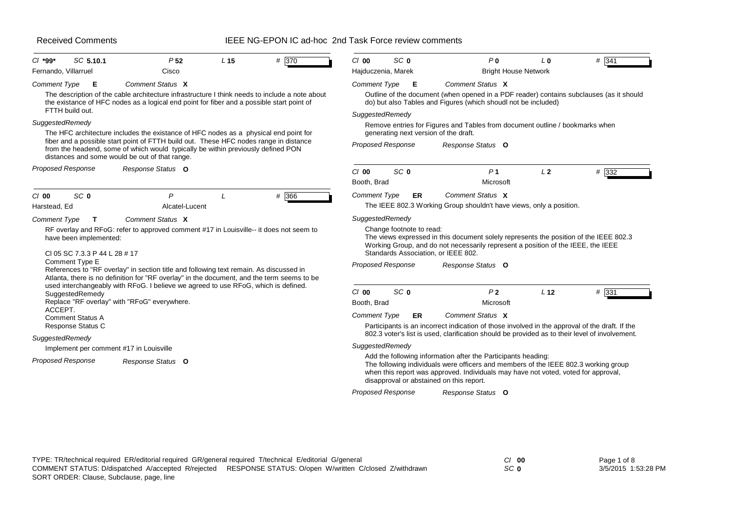### IEEE NG-EPON IC ad-hoc 2nd Task Force review comments

| SC 5.10.1<br>$Cl$ *99*                                                                                                                                                                                                                                                                                                                                                                                | P <sub>52</sub>                                                                                                                                                                                                                                                                                                     | L <sub>15</sub> | # 370 | $Cl$ 00                                                                           | SC <sub>0</sub>                                                         |           | P <sub>0</sub>                                                                                                                                                                                                                                                                         | L <sub>0</sub>  | $#$ 341 |  |
|-------------------------------------------------------------------------------------------------------------------------------------------------------------------------------------------------------------------------------------------------------------------------------------------------------------------------------------------------------------------------------------------------------|---------------------------------------------------------------------------------------------------------------------------------------------------------------------------------------------------------------------------------------------------------------------------------------------------------------------|-----------------|-------|-----------------------------------------------------------------------------------|-------------------------------------------------------------------------|-----------|----------------------------------------------------------------------------------------------------------------------------------------------------------------------------------------------------------------------------------------------------------------------------------------|-----------------|---------|--|
| Fernando, Villarruel<br><b>Comment Type</b><br>E                                                                                                                                                                                                                                                                                                                                                      | Cisco<br>Comment Status X<br>The description of the cable architecture infrastructure I think needs to include a note about                                                                                                                                                                                         |                 |       | Hajduczenia, Marek<br><b>Comment Type</b>                                         | Е                                                                       |           | <b>Bright House Network</b><br>Comment Status X<br>Outline of the document (when opened in a PDF reader) contains subclauses (as it should                                                                                                                                             |                 |         |  |
| FTTH build out.                                                                                                                                                                                                                                                                                                                                                                                       | the existance of HFC nodes as a logical end point for fiber and a possible start point of                                                                                                                                                                                                                           |                 |       | do) but also Tables and Figures (which shoudl not be included)<br>SuggestedRemedy |                                                                         |           |                                                                                                                                                                                                                                                                                        |                 |         |  |
| SuggestedRemedy                                                                                                                                                                                                                                                                                                                                                                                       | The HFC architecture includes the existance of HFC nodes as a physical end point for<br>fiber and a possible start point of FTTH build out. These HFC nodes range in distance<br>from the headend, some of which would typically be within previously defined PON<br>distances and some would be out of that range. |                 |       |                                                                                   | <b>Proposed Response</b>                                                |           | Remove entries for Figures and Tables from document outline / bookmarks when<br>generating next version of the draft.<br>Response Status O                                                                                                                                             |                 |         |  |
| <b>Proposed Response</b>                                                                                                                                                                                                                                                                                                                                                                              | Response Status O                                                                                                                                                                                                                                                                                                   |                 |       | $Cl$ 00<br>Booth, Brad                                                            | SC <sub>0</sub>                                                         |           | P <sub>1</sub><br>Microsoft                                                                                                                                                                                                                                                            | L <sub>2</sub>  | # 332   |  |
| SC <sub>0</sub><br>$CI$ 00<br>Harstead, Ed                                                                                                                                                                                                                                                                                                                                                            | $\mathsf{P}$<br>Alcatel-Lucent                                                                                                                                                                                                                                                                                      |                 | # 366 | <b>Comment Type</b>                                                               |                                                                         | <b>ER</b> | Comment Status X<br>The IEEE 802.3 Working Group shouldn't have views, only a position.                                                                                                                                                                                                |                 |         |  |
| Comment Status X<br>Comment Type<br>T.<br>RF overlay and RFoG: refer to approved comment #17 in Louisville-- it does not seem to<br>have been implemented:<br>CI 05 SC 7.3.3 P 44 L 28 # 17<br>Comment Type E<br>References to "RF overlay" in section title and following text remain. As discussed in<br>Atlanta, there is no definition for "RF overlay" in the document, and the term seems to be |                                                                                                                                                                                                                                                                                                                     |                 |       |                                                                                   | SuggestedRemedy<br>Change footnote to read:<br><b>Proposed Response</b> |           | The views expressed in this document solely represents the position of the IEEE 802.3<br>Working Group, and do not necessarily represent a position of the IEEE, the IEEE<br>Standards Association, or IEEE 802.<br>Response Status O                                                  |                 |         |  |
| SuggestedRemedy<br>ACCEPT.<br><b>Comment Status A</b><br>Response Status C                                                                                                                                                                                                                                                                                                                            | used interchangeably with RFoG. I believe we agreed to use RFoG, which is defined.<br>Replace "RF overlay" with "RFoG" everywhere.                                                                                                                                                                                  |                 |       | $Cl$ 00<br>Booth, Brad<br><b>Comment Type</b>                                     | SC <sub>0</sub>                                                         | ER        | P <sub>2</sub><br>Microsoft<br>Comment Status X<br>Participants is an incorrect indication of those involved in the approval of the draft. If the                                                                                                                                      | L <sub>12</sub> | $#$ 331 |  |
| SuggestedRemedy                                                                                                                                                                                                                                                                                                                                                                                       |                                                                                                                                                                                                                                                                                                                     |                 |       |                                                                                   |                                                                         |           | 802.3 voter's list is used, clarification should be provided as to their level of involvement.                                                                                                                                                                                         |                 |         |  |
| Implement per comment #17 in Louisville                                                                                                                                                                                                                                                                                                                                                               |                                                                                                                                                                                                                                                                                                                     |                 |       | SuggestedRemedy                                                                   |                                                                         |           |                                                                                                                                                                                                                                                                                        |                 |         |  |
| Proposed Response                                                                                                                                                                                                                                                                                                                                                                                     | Response Status O                                                                                                                                                                                                                                                                                                   |                 |       |                                                                                   |                                                                         |           | Add the following information after the Participants heading:<br>The following individuals were officers and members of the IEEE 802.3 working group<br>when this report was approved. Individuals may have not voted, voted for approval,<br>disapproval or abstained on this report. |                 |         |  |
|                                                                                                                                                                                                                                                                                                                                                                                                       |                                                                                                                                                                                                                                                                                                                     |                 |       |                                                                                   | <b>Proposed Response</b>                                                |           | Response Status O                                                                                                                                                                                                                                                                      |                 |         |  |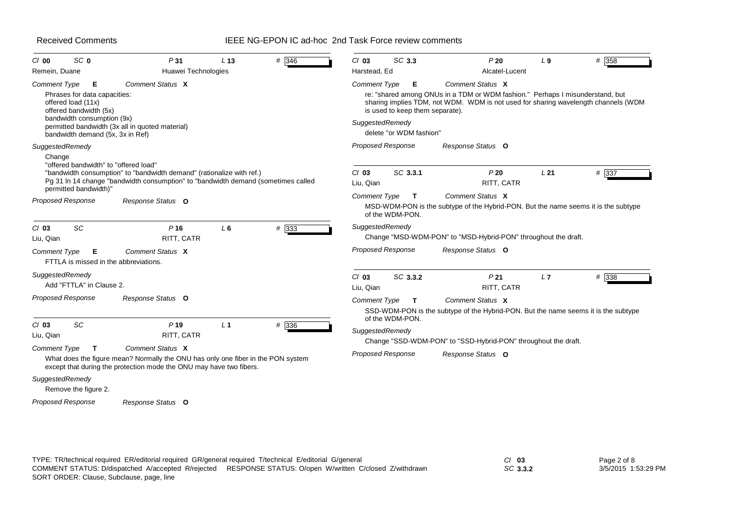### IEEE NG-EPON IC ad-hoc 2nd Task Force review comments

| SC <sub>0</sub><br>$CI$ 00                                                                                | P31                                                                                                                                                                         | L <sub>13</sub> | # 346 | $Cl$ 03              | SC 3.3                               | P20                                                                                                                                                                                     | L <sub>9</sub>  | # 358   |
|-----------------------------------------------------------------------------------------------------------|-----------------------------------------------------------------------------------------------------------------------------------------------------------------------------|-----------------|-------|----------------------|--------------------------------------|-----------------------------------------------------------------------------------------------------------------------------------------------------------------------------------------|-----------------|---------|
| Remein, Duane                                                                                             | Huawei Technologies                                                                                                                                                         |                 |       | Harstead, Ed         |                                      | Alcatel-Lucent                                                                                                                                                                          |                 |         |
| <b>Comment Type</b><br>E.<br>Phrases for data capacities:<br>offered load (11x)<br>offered bandwidth (5x) | Comment Status X                                                                                                                                                            |                 |       | <b>Comment Type</b>  | Е<br>is used to keep them separate). | Comment Status X<br>re: "shared among ONUs in a TDM or WDM fashion." Perhaps I misunderstand, but<br>sharing implies TDM, not WDM. WDM is not used for sharing wavelength channels (WDM |                 |         |
| bandwidth consumption (9x)<br>bandwidth demand (5x, 3x in Ref)                                            | permitted bandwidth (3x all in quoted material)                                                                                                                             |                 |       | SuggestedRemedy      | delete "or WDM fashion"              |                                                                                                                                                                                         |                 |         |
| SuggestedRemedy                                                                                           |                                                                                                                                                                             |                 |       |                      | <b>Proposed Response</b>             | Response Status O                                                                                                                                                                       |                 |         |
| Change<br>"offered bandwidth" to "offered load"<br>permitted bandwidth)"                                  | "bandwidth consumption" to "bandwidth demand" (rationalize with ref.)<br>Pg 31 In 14 change "bandwidth consumption" to "bandwidth demand (sometimes called                  |                 |       | $Cl$ 03<br>Liu, Qian | SC 3.3.1                             | P20<br>RITT, CATR                                                                                                                                                                       | L <sub>21</sub> | # 337   |
| <b>Proposed Response</b>                                                                                  | Response Status O                                                                                                                                                           |                 |       | <b>Comment Type</b>  | $\mathbf{T}$<br>of the WDM-PON.      | Comment Status X<br>MSD-WDM-PON is the subtype of the Hybrid-PON. But the name seems it is the subtype                                                                                  |                 |         |
| <b>SC</b><br>$CI$ 03<br>Liu, Qian                                                                         | P <sub>16</sub><br>RITT, CATR                                                                                                                                               | L6              | # 333 | SuggestedRemedy      |                                      | Change "MSD-WDM-PON" to "MSD-Hybrid-PON" throughout the draft.                                                                                                                          |                 |         |
| Comment Type<br>Е<br>FTTLA is missed in the abbreviations.                                                | Comment Status X                                                                                                                                                            |                 |       |                      | <b>Proposed Response</b>             | Response Status O                                                                                                                                                                       |                 |         |
| SuggestedRemedy<br>Add "FTTLA" in Clause 2.                                                               |                                                                                                                                                                             |                 |       | $Cl$ 03<br>Liu, Qian | SC 3.3.2                             | P <sub>21</sub><br>RITT, CATR                                                                                                                                                           | L7              | $#$ 338 |
| <b>Proposed Response</b>                                                                                  | Response Status O                                                                                                                                                           |                 |       | Comment Type         | $\mathbf{T}$<br>of the WDM-PON.      | Comment Status X<br>SSD-WDM-PON is the subtype of the Hybrid-PON. But the name seems it is the subtype                                                                                  |                 |         |
| <b>SC</b><br>$Cl$ 03<br>Liu, Qian                                                                         | P <sub>19</sub><br>RITT, CATR                                                                                                                                               | L <sub>1</sub>  | # 336 | SuggestedRemedy      |                                      | Change "SSD-WDM-PON" to "SSD-Hybrid-PON" throughout the draft.                                                                                                                          |                 |         |
| Comment Type<br>Т                                                                                         | Comment Status X<br>What does the figure mean? Normally the ONU has only one fiber in the PON system<br>except that during the protection mode the ONU may have two fibers. |                 |       |                      | <b>Proposed Response</b>             | Response Status O                                                                                                                                                                       |                 |         |
| SuggestedRemedy<br>Remove the figure 2.                                                                   |                                                                                                                                                                             |                 |       |                      |                                      |                                                                                                                                                                                         |                 |         |
| <b>Proposed Response</b>                                                                                  | Response Status O                                                                                                                                                           |                 |       |                      |                                      |                                                                                                                                                                                         |                 |         |

*SC* **3.3.2**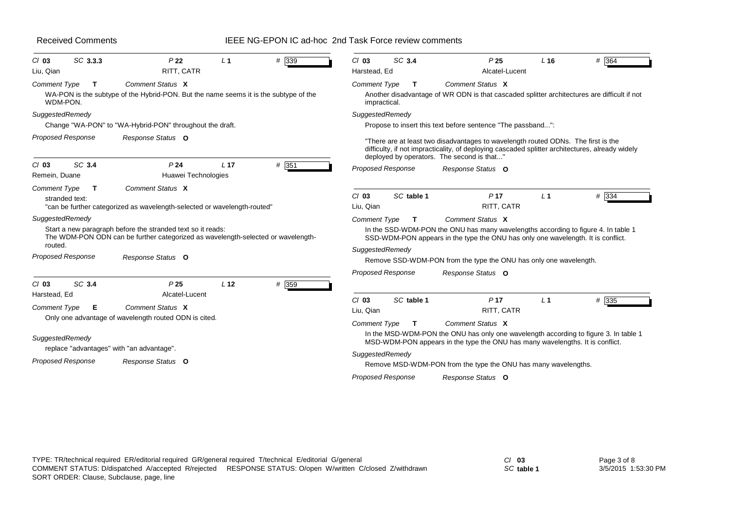### IEEE NG-EPON IC ad-hoc 2nd Task Force review comments

| P <sub>22</sub><br>L <sub>1</sub><br>RITT, CATR<br>Comment Status X<br>WA-PON is the subtype of the Hybrid-PON. But the name seems it is the subtype of the<br>Change "WA-PON" to "WA-Hybrid-PON" throughout the draft.<br>Response Status O<br>P <sub>24</sub><br>L <sub>17</sub><br>Huawei Technologies<br>Comment Status X | # 339<br># 351                                                                                                                                                   | SC 3.4<br>$Cl$ 03<br>Harstead, Ed<br><b>Comment Type</b><br>T.<br>impractical.<br>SuggestedRemedy<br><b>Proposed Response</b> | P <sub>25</sub><br>Alcatel-Lucent<br>Comment Status X<br>Another disadvantage of WR ODN is that cascaded splitter architectures are difficult if not<br>Propose to insert this text before sentence "The passband":<br>"There are at least two disadvantages to wavelength routed ODNs. The first is the<br>difficulty, if not impracticality, of deploying cascaded splitter architectures, already widely<br>deployed by operators. The second is that"<br>Response Status O | L <sub>16</sub>                                                         | # 364                                                                                                                                                                                                                                                                                                                                                                                                                                                                                                   |
|-------------------------------------------------------------------------------------------------------------------------------------------------------------------------------------------------------------------------------------------------------------------------------------------------------------------------------|------------------------------------------------------------------------------------------------------------------------------------------------------------------|-------------------------------------------------------------------------------------------------------------------------------|--------------------------------------------------------------------------------------------------------------------------------------------------------------------------------------------------------------------------------------------------------------------------------------------------------------------------------------------------------------------------------------------------------------------------------------------------------------------------------|-------------------------------------------------------------------------|---------------------------------------------------------------------------------------------------------------------------------------------------------------------------------------------------------------------------------------------------------------------------------------------------------------------------------------------------------------------------------------------------------------------------------------------------------------------------------------------------------|
|                                                                                                                                                                                                                                                                                                                               |                                                                                                                                                                  |                                                                                                                               |                                                                                                                                                                                                                                                                                                                                                                                                                                                                                |                                                                         |                                                                                                                                                                                                                                                                                                                                                                                                                                                                                                         |
|                                                                                                                                                                                                                                                                                                                               |                                                                                                                                                                  |                                                                                                                               |                                                                                                                                                                                                                                                                                                                                                                                                                                                                                |                                                                         |                                                                                                                                                                                                                                                                                                                                                                                                                                                                                                         |
|                                                                                                                                                                                                                                                                                                                               |                                                                                                                                                                  |                                                                                                                               |                                                                                                                                                                                                                                                                                                                                                                                                                                                                                |                                                                         |                                                                                                                                                                                                                                                                                                                                                                                                                                                                                                         |
|                                                                                                                                                                                                                                                                                                                               |                                                                                                                                                                  |                                                                                                                               |                                                                                                                                                                                                                                                                                                                                                                                                                                                                                |                                                                         |                                                                                                                                                                                                                                                                                                                                                                                                                                                                                                         |
|                                                                                                                                                                                                                                                                                                                               |                                                                                                                                                                  |                                                                                                                               |                                                                                                                                                                                                                                                                                                                                                                                                                                                                                |                                                                         |                                                                                                                                                                                                                                                                                                                                                                                                                                                                                                         |
| "can be further categorized as wavelength-selected or wavelength-routed"                                                                                                                                                                                                                                                      |                                                                                                                                                                  | SC table 1<br>$Cl$ 03<br>Liu, Qian                                                                                            | P <sub>17</sub><br>RITT, CATR                                                                                                                                                                                                                                                                                                                                                                                                                                                  | L <sub>1</sub>                                                          | $# \overline{334}$                                                                                                                                                                                                                                                                                                                                                                                                                                                                                      |
| Start a new paragraph before the stranded text so it reads:                                                                                                                                                                                                                                                                   |                                                                                                                                                                  | Comment Type<br>$\mathbf{T}$<br>SuggestedRemedy                                                                               | Comment Status X                                                                                                                                                                                                                                                                                                                                                                                                                                                               |                                                                         |                                                                                                                                                                                                                                                                                                                                                                                                                                                                                                         |
|                                                                                                                                                                                                                                                                                                                               |                                                                                                                                                                  |                                                                                                                               |                                                                                                                                                                                                                                                                                                                                                                                                                                                                                |                                                                         |                                                                                                                                                                                                                                                                                                                                                                                                                                                                                                         |
| P <sub>25</sub><br>L <sub>12</sub><br>Alcatel-Lucent                                                                                                                                                                                                                                                                          | # 359                                                                                                                                                            |                                                                                                                               |                                                                                                                                                                                                                                                                                                                                                                                                                                                                                |                                                                         |                                                                                                                                                                                                                                                                                                                                                                                                                                                                                                         |
|                                                                                                                                                                                                                                                                                                                               |                                                                                                                                                                  | Liu, Qian<br><b>Comment Type</b><br>$\mathbf{T}$                                                                              | RITT, CATR<br>Comment Status X                                                                                                                                                                                                                                                                                                                                                                                                                                                 |                                                                         | # 335                                                                                                                                                                                                                                                                                                                                                                                                                                                                                                   |
|                                                                                                                                                                                                                                                                                                                               |                                                                                                                                                                  | SuggestedRemedy                                                                                                               |                                                                                                                                                                                                                                                                                                                                                                                                                                                                                |                                                                         |                                                                                                                                                                                                                                                                                                                                                                                                                                                                                                         |
|                                                                                                                                                                                                                                                                                                                               | Response Status O<br>Comment Status X<br>Only one advantage of wavelength routed ODN is cited.<br>replace "advantages" with "an advantage".<br>Response Status O | The WDM-PON ODN can be further categorized as wavelength-selected or wavelength-                                              | <b>Proposed Response</b><br>$Cl$ 03<br><b>Proposed Response</b>                                                                                                                                                                                                                                                                                                                                                                                                                | Response Status O<br>SC table 1<br>P <sub>17</sub><br>Response Status O | In the SSD-WDM-PON the ONU has many wavelengths according to figure 4. In table 1<br>SSD-WDM-PON appears in the type the ONU has only one wavelength. It is conflict.<br>Remove SSD-WDM-PON from the type the ONU has only one wavelength.<br>L <sub>1</sub><br>In the MSD-WDM-PON the ONU has only one wavelength according to figure 3. In table 1<br>MSD-WDM-PON appears in the type the ONU has many wavelengths. It is conflict.<br>Remove MSD-WDM-PON from the type the ONU has many wavelengths. |

*SC* **table 1**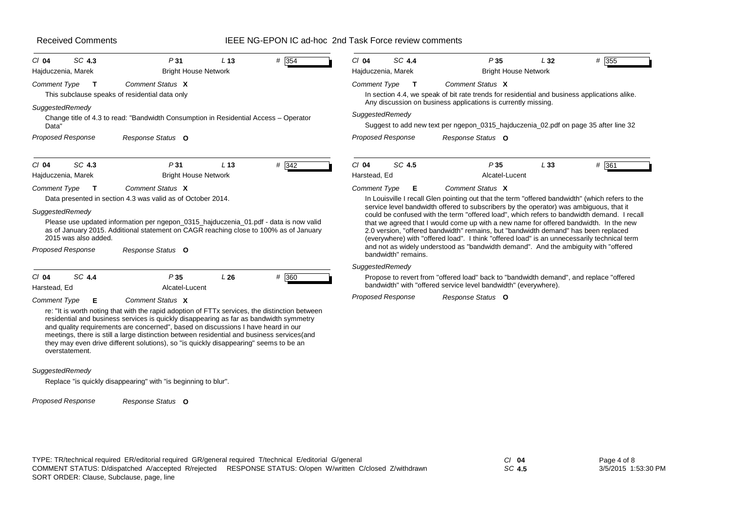| <b>Received Comments</b>                                                                                   |                                                                                                                                                                                                                                                                                                                                                                                                                                                                                          |                 | IEEE NG-EPON IC ad-hoc 2nd Task Force review comments |                         |                                        |                                                                                                                                                                                                                                                                                                                                                                                                                                                                                                                                                                                                                                                                                   |     |                    |
|------------------------------------------------------------------------------------------------------------|------------------------------------------------------------------------------------------------------------------------------------------------------------------------------------------------------------------------------------------------------------------------------------------------------------------------------------------------------------------------------------------------------------------------------------------------------------------------------------------|-----------------|-------------------------------------------------------|-------------------------|----------------------------------------|-----------------------------------------------------------------------------------------------------------------------------------------------------------------------------------------------------------------------------------------------------------------------------------------------------------------------------------------------------------------------------------------------------------------------------------------------------------------------------------------------------------------------------------------------------------------------------------------------------------------------------------------------------------------------------------|-----|--------------------|
| SC 4.3<br>$Cl$ 04<br>Hajduczenia, Marek                                                                    | P31<br><b>Bright House Network</b>                                                                                                                                                                                                                                                                                                                                                                                                                                                       | L <sub>13</sub> | # 354                                                 | $Cl$ 04                 | SC 4.4<br>Hajduczenia, Marek           | P35<br><b>Bright House Network</b>                                                                                                                                                                                                                                                                                                                                                                                                                                                                                                                                                                                                                                                | L32 | # 355              |
| Comment Type<br>$\mathbf{T}$                                                                               | Comment Status X<br>This subclause speaks of residential data only                                                                                                                                                                                                                                                                                                                                                                                                                       |                 |                                                       | <b>Comment Type</b>     | $\mathsf{T}$                           | Comment Status X<br>In section 4.4, we speak of bit rate trends for residential and business applications alike.                                                                                                                                                                                                                                                                                                                                                                                                                                                                                                                                                                  |     |                    |
| SuggestedRemedy<br>Data"                                                                                   | Change title of 4.3 to read: "Bandwidth Consumption in Residential Access - Operator                                                                                                                                                                                                                                                                                                                                                                                                     |                 |                                                       |                         | SuggestedRemedy                        | Any discussion on business applications is currently missing.<br>Suggest to add new text per ngepon_0315_hajduczenia_02.pdf on page 35 after line 32                                                                                                                                                                                                                                                                                                                                                                                                                                                                                                                              |     |                    |
| <b>Proposed Response</b>                                                                                   | Response Status O                                                                                                                                                                                                                                                                                                                                                                                                                                                                        |                 |                                                       |                         | <b>Proposed Response</b>               | Response Status O                                                                                                                                                                                                                                                                                                                                                                                                                                                                                                                                                                                                                                                                 |     |                    |
| SC 4.3<br>$Cl$ 04<br>Hajduczenia, Marek                                                                    | P31<br><b>Bright House Network</b>                                                                                                                                                                                                                                                                                                                                                                                                                                                       | L <sub>13</sub> | $\#$ 342                                              | $Cl$ 04<br>Harstead, Ed | SC 4.5                                 | P35<br>Alcatel-Lucent                                                                                                                                                                                                                                                                                                                                                                                                                                                                                                                                                                                                                                                             | L33 | $# \overline{361}$ |
| <b>Comment Type</b><br>$\mathbf{T}$<br>SuggestedRemedy<br>2015 was also added.<br><b>Proposed Response</b> | Comment Status X<br>Data presented in section 4.3 was valid as of October 2014.<br>Please use updated information per ngepon_0315_hajduczenia_01.pdf - data is now valid<br>as of January 2015. Additional statement on CAGR reaching close to 100% as of January<br>Response Status O                                                                                                                                                                                                   |                 |                                                       | <b>Comment Type</b>     | Е                                      | Comment Status X<br>In Louisville I recall Glen pointing out that the term "offered bandwidth" (which refers to the<br>service level bandwidth offered to subscribers by the operator) was ambiguous, that it<br>could be confused with the term "offered load", which refers to bandwidth demand. I recall<br>that we agreed that I would come up with a new name for offered bandwidth. In the new<br>2.0 version, "offered bandwidth" remains, but "bandwidth demand" has been replaced<br>(everywhere) with "offered load". I think "offered load" is an unnecessarily technical term<br>and not as widely understood as "bandwidth demand". And the ambiguity with "offered" |     |                    |
|                                                                                                            |                                                                                                                                                                                                                                                                                                                                                                                                                                                                                          |                 |                                                       |                         | bandwidth" remains.<br>SuggestedRemedy |                                                                                                                                                                                                                                                                                                                                                                                                                                                                                                                                                                                                                                                                                   |     |                    |
| SC 4.4<br>$Cl$ 04<br>Harstead, Ed                                                                          | P35<br>Alcatel-Lucent                                                                                                                                                                                                                                                                                                                                                                                                                                                                    | L26             | # 360                                                 |                         |                                        | Propose to revert from "offered load" back to "bandwidth demand", and replace "offered<br>bandwidth" with "offered service level bandwidth" (everywhere).                                                                                                                                                                                                                                                                                                                                                                                                                                                                                                                         |     |                    |
| <b>Comment Type</b><br>Е<br>overstatement.                                                                 | Comment Status X<br>re: "It is worth noting that with the rapid adoption of FTTx services, the distinction between<br>residential and business services is quickly disappearing as far as bandwidth symmetry<br>and quality requirements are concerned", based on discussions I have heard in our<br>meetings, there is still a large distinction between residential and business services(and<br>they may even drive different solutions), so "is quickly disappearing" seems to be an |                 |                                                       |                         | <b>Proposed Response</b>               | Response Status O                                                                                                                                                                                                                                                                                                                                                                                                                                                                                                                                                                                                                                                                 |     |                    |

#### *SuggestedRemedy*

Replace "is quickly disappearing" with "is beginning to blur".

*Response Status* **O** *Proposed Response*

TYPE: TR/technical required ER/editorial required GR/general required T/technical E/editorial G/general *Cl* **04** SORT ORDER: Clause, Subclause, page, line COMMENT STATUS: D/dispatched A/accepted R/rejected RESPONSE STATUS: O/open W/written C/closed Z/withdrawn

*SC* **4.5**

Page 4 of 8 3/5/2015 1:53:30 PM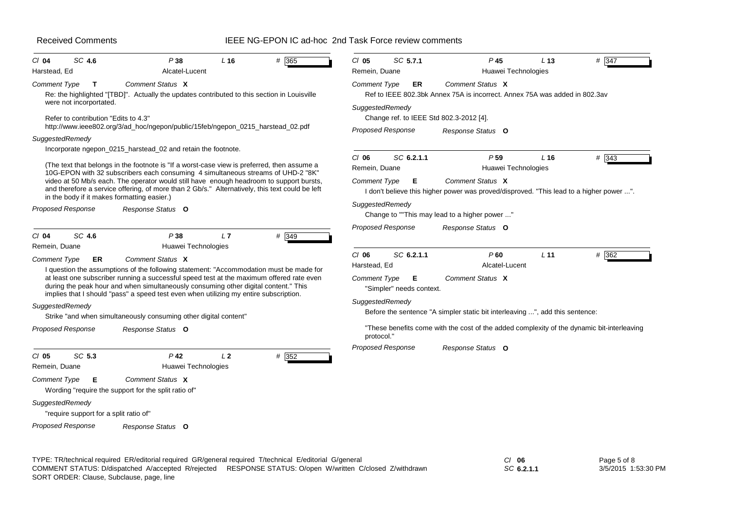### IEEE NG-EPON IC ad-hoc 2nd Task Force review comments

| Comment Status X<br><b>Comment Type</b><br>ER<br>Ref to IEEE 802.3bk Annex 75A is incorrect. Annex 75A was added in 802.3av<br>SuggestedRemedy<br>Change ref. to IEEE Std 802.3-2012 [4].                                                                                                                                                |
|------------------------------------------------------------------------------------------------------------------------------------------------------------------------------------------------------------------------------------------------------------------------------------------------------------------------------------------|
| <b>Proposed Response</b><br>Response Status O                                                                                                                                                                                                                                                                                            |
| SC 6.2.1.1<br>$CI$ 06<br>P <sub>59</sub><br>$# \overline{343}$<br>L <sub>16</sub><br>Huawei Technologies<br>Remein, Duane<br>Comment Status X<br><b>Comment Type</b><br>E<br>I don't believe this higher power was proved/disproved. "This lead to a higher power ".<br>SuggestedRemedy<br>Change to ""This may lead to a higher power " |
| <b>Proposed Response</b><br>Response Status O<br>SC 6.2.1.1<br>$Cl$ 06<br>P60<br>L <sub>11</sub><br># 362<br>Harstead, Ed<br>Alcatel-Lucent                                                                                                                                                                                              |
| Comment Status X<br>Comment Type<br>Е<br>"Simpler" needs context.<br>SuggestedRemedy<br>Before the sentence "A simpler static bit interleaving ", add this sentence:                                                                                                                                                                     |
| "These benefits come with the cost of the added complexity of the dynamic bit-interleaving<br>protocol."                                                                                                                                                                                                                                 |
| Proposed Response<br>Response Status O                                                                                                                                                                                                                                                                                                   |
|                                                                                                                                                                                                                                                                                                                                          |

TYPE: TR/technical required ER/editorial required GR/general required T/technical E/editorial G/general *Cl* **06** SORT ORDER: Clause, Subclause, page, line COMMENT STATUS: D/dispatched A/accepted R/rejected RESPONSE STATUS: O/open W/written C/closed Z/withdrawn

*SC* **6.2.1.1**

Page 5 of 8 3/5/2015 1:53:30 PM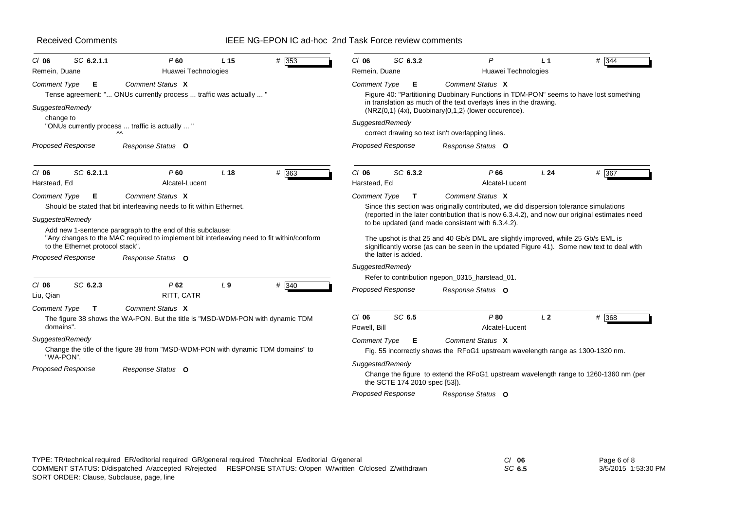# IEEE NG-EPON IC ad-hoc 2nd Task Force review comments

| SC 6.2.1.1<br>$CI$ 06                                                           | P60                                                                                                                                                                                                                                                  | L <sub>15</sub> | # 353 | $CI$ 06                 | SC 6.3.2                                                                                                                                 | P                                                                                                                                                                                                                                                                                                                                                                                                                              | L <sub>1</sub> | # 344 |  |  |
|---------------------------------------------------------------------------------|------------------------------------------------------------------------------------------------------------------------------------------------------------------------------------------------------------------------------------------------------|-----------------|-------|-------------------------|------------------------------------------------------------------------------------------------------------------------------------------|--------------------------------------------------------------------------------------------------------------------------------------------------------------------------------------------------------------------------------------------------------------------------------------------------------------------------------------------------------------------------------------------------------------------------------|----------------|-------|--|--|
| Remein, Duane                                                                   | Huawei Technologies                                                                                                                                                                                                                                  |                 |       | Remein, Duane           |                                                                                                                                          | Huawei Technologies                                                                                                                                                                                                                                                                                                                                                                                                            |                |       |  |  |
| <b>Comment Type</b><br>Е.<br>SuggestedRemedy                                    | Comment Status X<br>Tense agreement: " ONUs currently process  traffic was actually  "                                                                                                                                                               |                 |       | <b>Comment Type</b>     | Е                                                                                                                                        | Comment Status X<br>Figure 40: "Partitioning Duobinary Functions in TDM-PON" seems to have lost something<br>in translation as much of the text overlays lines in the drawing.<br>(NRZ{0,1} (4x), Duobinary{0,1,2} (lower occurence).                                                                                                                                                                                          |                |       |  |  |
| change to                                                                       | "ONUs currently process  traffic is actually  "<br>$\sim$                                                                                                                                                                                            |                 |       | SuggestedRemedy         |                                                                                                                                          | correct drawing so text isn't overlapping lines.                                                                                                                                                                                                                                                                                                                                                                               |                |       |  |  |
| <b>Proposed Response</b>                                                        | Response Status O                                                                                                                                                                                                                                    |                 |       |                         | <b>Proposed Response</b>                                                                                                                 | Response Status O                                                                                                                                                                                                                                                                                                                                                                                                              |                |       |  |  |
| SC 6.2.1.1<br>$CI$ 06<br>Harstead, Ed                                           | P60<br>Alcatel-Lucent                                                                                                                                                                                                                                | L <sub>18</sub> | # 363 | $Cl$ 06<br>Harstead, Ed | SC 6.3.2                                                                                                                                 | P66<br>Alcatel-Lucent                                                                                                                                                                                                                                                                                                                                                                                                          | L24            | # 367 |  |  |
| <b>Comment Type</b><br>Е                                                        | Comment Status X                                                                                                                                                                                                                                     |                 |       | <b>Comment Type</b>     | $\mathbf{T}$                                                                                                                             | Comment Status X                                                                                                                                                                                                                                                                                                                                                                                                               |                |       |  |  |
| SuggestedRemedy<br>to the Ethernet protocol stack".<br><b>Proposed Response</b> | Should be stated that bit interleaving needs to fit within Ethernet.<br>Add new 1-sentence paragraph to the end of this subclause:<br>"Any changes to the MAC required to implement bit interleaving need to fit within/conform<br>Response Status O |                 |       | SuggestedRemedy         | the latter is added.                                                                                                                     | Since this section was originally contributed, we did dispersion tolerance simulations<br>(reported in the later contribution that is now 6.3.4.2), and now our original estimates need<br>to be updated (and made consistant with 6.3.4.2).<br>The upshot is that 25 and 40 Gb/s DML are slightly improved, while 25 Gb/s EML is<br>significantly worse (as can be seen in the updated Figure 41). Some new text to deal with |                |       |  |  |
| SC 6.2.3<br>$CI$ 06                                                             | P62                                                                                                                                                                                                                                                  | L <sub>9</sub>  | # 340 |                         |                                                                                                                                          | Refer to contribution ngepon_0315_harstead_01.                                                                                                                                                                                                                                                                                                                                                                                 |                |       |  |  |
| Liu, Qian                                                                       | RITT, CATR                                                                                                                                                                                                                                           |                 |       |                         | <b>Proposed Response</b>                                                                                                                 | Response Status O                                                                                                                                                                                                                                                                                                                                                                                                              |                |       |  |  |
| <b>Comment Type</b><br>T<br>domains".                                           | Comment Status X<br>The figure 38 shows the WA-PON. But the title is "MSD-WDM-PON with dynamic TDM                                                                                                                                                   |                 |       | $CI$ 06<br>Powell, Bill | SC 6.5                                                                                                                                   | P80<br>Alcatel-Lucent                                                                                                                                                                                                                                                                                                                                                                                                          | L <sub>2</sub> | # 368 |  |  |
| SuggestedRemedy                                                                 |                                                                                                                                                                                                                                                      |                 |       | <b>Comment Type</b>     | Е                                                                                                                                        | Comment Status X                                                                                                                                                                                                                                                                                                                                                                                                               |                |       |  |  |
| "WA-PON".                                                                       | Change the title of the figure 38 from "MSD-WDM-PON with dynamic TDM domains" to                                                                                                                                                                     |                 |       |                         |                                                                                                                                          | Fig. 55 incorrectly shows the RFoG1 upstream wavelength range as 1300-1320 nm.                                                                                                                                                                                                                                                                                                                                                 |                |       |  |  |
| <b>Proposed Response</b><br>Response Status O                                   |                                                                                                                                                                                                                                                      |                 |       |                         | SuggestedRemedy<br>Change the figure to extend the RFoG1 upstream wavelength range to 1260-1360 nm (per<br>the SCTE 174 2010 spec [53]). |                                                                                                                                                                                                                                                                                                                                                                                                                                |                |       |  |  |
|                                                                                 |                                                                                                                                                                                                                                                      |                 |       |                         | <b>Proposed Response</b>                                                                                                                 | Response Status O                                                                                                                                                                                                                                                                                                                                                                                                              |                |       |  |  |

| TYPE: TR/technical required ER/editorial required GR/general required T/technical E/editorial G/general   | $CI$ 06 | Page 6 of 8         |
|-----------------------------------------------------------------------------------------------------------|---------|---------------------|
| COMMENT STATUS: D/dispatched A/accepted R/rejected RESPONSE STATUS: O/open W/written C/closed Z/withdrawn | SC 6.5  | 3/5/2015 1:53:30 PM |
| SORT ORDER: Clause, Subclause, page, line                                                                 |         |                     |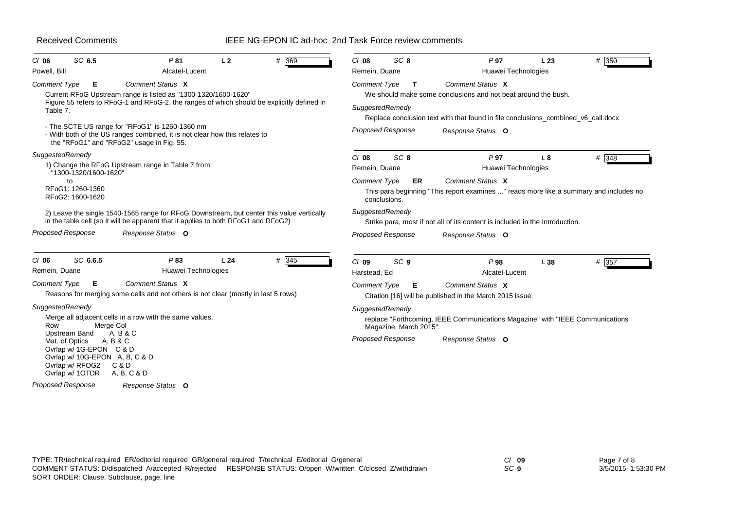### IEEE NG-EPON IC ad-hoc 2nd Task Force review comments

| $CI$ 06<br>Powell, Bill                  | SC 6.5                                                                                                                                    | P81<br>Alcatel-Lucent                                                                                                                                                            | L2  | # 369   | $Cl$ 08<br>Remein, Duane               | SC <sub>8</sub>                                    | P <sub>97</sub><br>Huawei Technologies                                                                                                                                 | L23         | # 350          |
|------------------------------------------|-------------------------------------------------------------------------------------------------------------------------------------------|----------------------------------------------------------------------------------------------------------------------------------------------------------------------------------|-----|---------|----------------------------------------|----------------------------------------------------|------------------------------------------------------------------------------------------------------------------------------------------------------------------------|-------------|----------------|
| <b>Comment Type</b><br>Table 7.          | Е                                                                                                                                         | Comment Status X<br>Current RFoG Upstream range is listed as "1300-1320/1600-1620"<br>Figure 55 refers to RFoG-1 and RFoG-2, the ranges of which should be explicitly defined in |     |         | <b>Comment Type</b><br>SuggestedRemedy | T                                                  | Comment Status X<br>We should make some conclusions and not beat around the bush.<br>Replace conclusion text with that found in file conclusions_combined_v6_call.docx |             |                |
|                                          |                                                                                                                                           | - The SCTE US range for "RFoG1" is 1260-1360 nm<br>- With both of the US ranges combined, it is not clear how this relates to<br>the "RFoG1" and "RFoG2" usage in Fig. 55.       |     |         |                                        | <b>Proposed Response</b>                           | Response Status O                                                                                                                                                      |             |                |
| SuggestedRemedy                          |                                                                                                                                           | 1) Change the RFoG Upstream range in Table 7 from:                                                                                                                               |     |         | $Cl$ 08                                | SC <sub>8</sub>                                    | P <sub>97</sub>                                                                                                                                                        | $L_{\rm 8}$ | $# \sqrt{348}$ |
|                                          | "1300-1320/1600-1620"<br>to<br>RFoG1: 1260-1360<br>RFoG2: 1600-1620                                                                       |                                                                                                                                                                                  |     |         | Remein, Duane<br><b>Comment Type</b>   | ER<br>conclusions.                                 | Huawei Technologies<br>Comment Status X<br>This para beginning "This report examines " reads more like a summary and includes no                                       |             |                |
|                                          |                                                                                                                                           | 2) Leave the single 1540-1565 range for RFoG Downstream, but center this value vertically<br>in the table cell (so it will be apparent that it applies to both RFoG1 and RFoG2)  |     |         | SuggestedRemedy                        |                                                    | Strike para, most if not all of its content is included in the Introduction.                                                                                           |             |                |
| <b>Proposed Response</b>                 |                                                                                                                                           | Response Status O                                                                                                                                                                |     |         |                                        | <b>Proposed Response</b>                           | Response Status O                                                                                                                                                      |             |                |
| $CI$ 06<br>Remein, Duane                 | SC 6.6.5                                                                                                                                  | P83<br>Huawei Technologies                                                                                                                                                       | L24 | $#$ 345 | $Cl$ 09<br>Harstead, Ed                | SC <sub>9</sub>                                    | P98<br>Alcatel-Lucent                                                                                                                                                  | L38         | # 357          |
| <b>Comment Type</b>                      | Е                                                                                                                                         | Comment Status X<br>Reasons for merging some cells and not others is not clear (mostly in last 5 rows)                                                                           |     |         | <b>Comment Type</b>                    | E.                                                 | Comment Status X<br>Citation [16] will be published in the March 2015 issue.                                                                                           |             |                |
| SuggestedRemedy<br>Row<br>Mat. of Optics | Merge Col<br>Upstream Band<br>A, B & C<br>Ovrlap w/ 1G-EPON C & D<br>Ovrlap w/ 10G-EPON A, B, C & D<br>Ovrlap w/ RFOG2<br>Ovrlap w/ 1OTDR | Merge all adjacent cells in a row with the same values.<br>A. B & C<br>C & D<br>A, B, C & D                                                                                      |     |         | SuggestedRemedy                        | Magazine, March 2015".<br><b>Proposed Response</b> | replace "Forthcoming, IEEE Communications Magazine" with "IEEE Communications<br>Response Status O                                                                     |             |                |
| <b>Proposed Response</b>                 |                                                                                                                                           | Response Status O                                                                                                                                                                |     |         |                                        |                                                    |                                                                                                                                                                        |             |                |

*SC* **9**